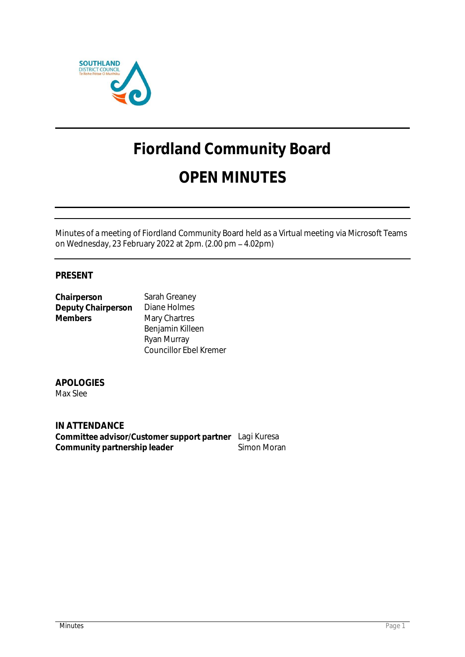

# **Fiordland Community Board OPEN MINUTES**

Minutes of a meeting of Fiordland Community Board held as a Virtual meeting via Microsoft Teams on Wednesday, 23 February 2022 at 2pm. (2.00 pm 4.02pm)

# **PRESENT**

| Chairperson        | Sarah Greaney                 |
|--------------------|-------------------------------|
| Deputy Chairperson | Diane Holmes                  |
| <b>Members</b>     | Mary Chartres                 |
|                    | Benjamin Killeen              |
|                    | Ryan Murray                   |
|                    | <b>Councillor Ebel Kremer</b> |

**APOLOGIES** Max Slee

**IN ATTENDANCE Committee advisor/Customer support partner** Lagi Kuresa Community partnership leader **Simon Moran**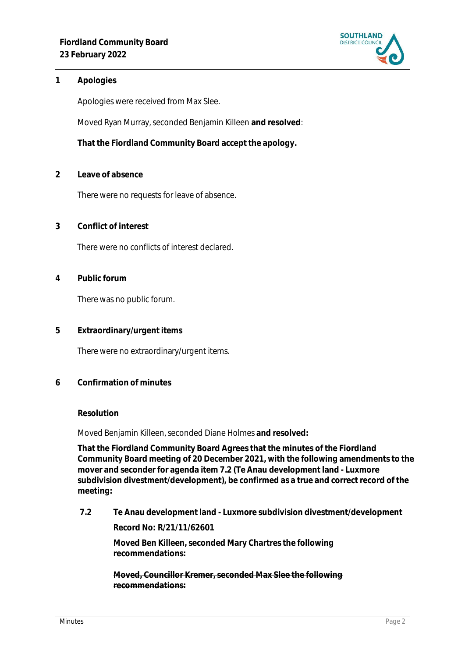

# **1 Apologies**

Apologies were received from Max Slee.

Moved Ryan Murray, seconded Benjamin Killeen **and resolved**:

**That the Fiordland Community Board accept the apology.**

**2 Leave of absence** 

There were no requests for leave of absence.

**3 Conflict of interest**

There were no conflicts of interest declared.

**4 Public forum**

There was no public forum.

**5 Extraordinary/urgent items**

There were no extraordinary/urgent items.

**6 Confirmation of minutes**

### **Resolution**

Moved Benjamin Killeen, seconded Diane Holmes **and resolved:**

**That the Fiordland Community Board Agrees that the minutes of the Fiordland Community Board meeting of 20 December 2021, with the following amendments to the mover and seconder for agenda item 7.2 (Te Anau development land - Luxmore subdivision divestment/development), be confirmed as a true and correct record of the meeting:**

**7.2 Te Anau development land - Luxmore subdivision divestment/development Record No: R/21/11/62601**

> **Moved Ben Killeen, seconded Mary Chartres the following recommendations:**

**Moved, Councillor Kremer, seconded Max Slee the following recommendations:**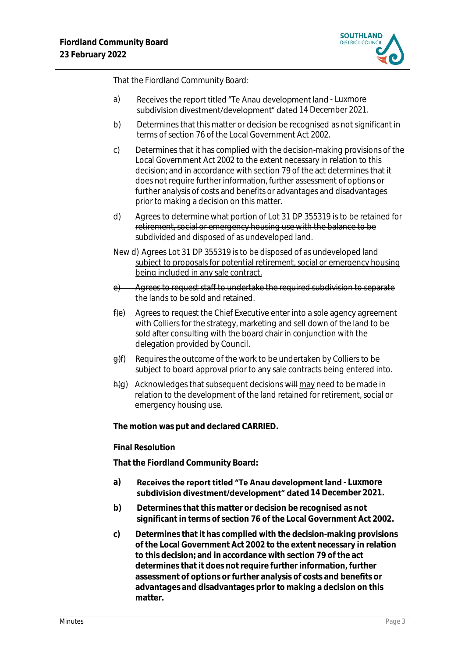

That the Fiordland Community Board:

- a) Receives the report titled "Te Anau development land Luxmore subdivision divestment/development" dated 14 December 2021.
- b) Determines that this matter or decision be recognised as not significant in terms of section 76 of the Local Government Act 2002.
- c) Determines that it has complied with the decision-making provisions of the Local Government Act 2002 to the extent necessary in relation to this decision; and in accordance with section 79 of the act determines that it does not require further information, further assessment of options or further analysis of costs and benefits or advantages and disadvantages prior to making a decision on this matter.
- d) Agrees to determine what portion of Lot 31 DP 355319 is to be retained for retirement, social or emergency housing use with the balance to be subdivided and disposed of as undeveloped land.
- New d) Agrees Lot 31 DP 355319 is to be disposed of as undeveloped land subject to proposals for potential retirement, social or emergency housing being included in any sale contract.
- e) Agrees to request staff to undertake the required subdivision to separate the lands to be sold and retained.
- fle) Agrees to request the Chief Executive enter into a sole agency agreement with Colliers for the strategy, marketing and sell down of the land to be sold after consulting with the board chair in conjunction with the delegation provided by Council.
- $\theta$ f) Requires the outcome of the work to be undertaken by Colliers to be subject to board approval prior to any sale contracts being entered into.
- $\frac{h}{g}$ ) Acknowledges that subsequent decisions will may need to be made in relation to the development of the land retained for retirement, social or emergency housing use.

**The motion was put and declared CARRIED.**

### **Final Resolution**

**That the Fiordland Community Board:**

- a) Receives the report titled "Te Anau development land Luxmore subdivision divestment/development" dated 14 December 2021.
- **b) Determines that this matter or decision be recognised as not significant in terms of section 76 of the Local Government Act 2002.**
- **c) Determines that it has complied with the decision-making provisions of the Local Government Act 2002 to the extent necessary in relation to this decision; and in accordance with section 79 of the act determines that it does not require further information, further assessment of options or further analysis of costs and benefits or advantages and disadvantages prior to making a decision on this matter.**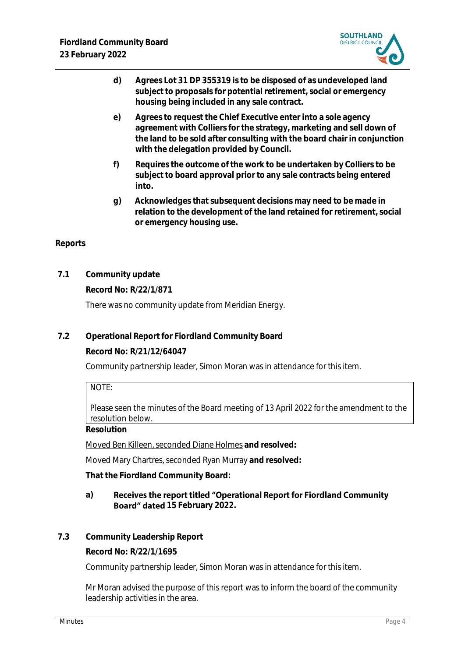

- **d) Agrees Lot 31 DP 355319 is to be disposed of as undeveloped land subject to proposals for potential retirement, social or emergency housing being included in any sale contract.**
- **e) Agrees to request the Chief Executive enter into a sole agency agreement with Colliers for the strategy, marketing and sell down of the land to be sold after consulting with the board chair in conjunction with the delegation provided by Council.**
- **f) Requires the outcome of the work to be undertaken by Colliers to be subject to board approval prior to any sale contracts being entered into.**
- **g) Acknowledges that subsequent decisions may need to be made in relation to the development of the land retained for retirement, social or emergency housing use.**

# **Reports**

**7.1 Community update**

**Record No: R/22/1/871** There was no community update from Meridian Energy.

**7.2 Operational Report for Fiordland Community Board**

**Record No: R/21/12/64047**

Community partnership leader, Simon Moran was in attendance for this item.

NOTE:

Please seen the minutes of the Board meeting of 13 April 2022 for the amendment to the resolution below.

**Resolution**

Moved Ben Killeen, seconded Diane Holmes **and resolved:**

Moved Mary Chartres, seconded Ryan Murray **and resolved:**

**That the Fiordland Community Board:**

#### **a)** Receives the report titled "Operational Report for Fiordland Community **Board" dated** 15 February 2022.

**7.3 Community Leadership Report**

**Record No: R/22/1/1695**

Community partnership leader, Simon Moran was in attendance for this item.

Mr Moran advised the purpose of this report was to inform the board of the community leadership activities in the area.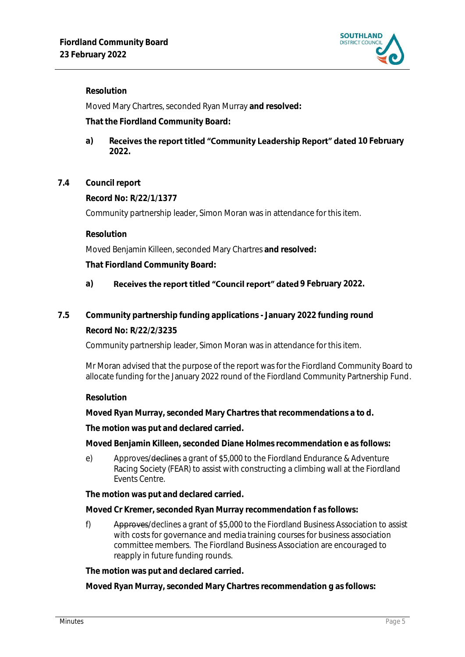

**Resolution**

Moved Mary Chartres, seconded Ryan Murray **and resolved:**

**That the Fiordland Community Board:**

- a) **Receives the report titled "Community Leadership Report" dated 10 February 2022.**
- **7.4 Council report**

**Record No: R/22/1/1377**

Community partnership leader, Simon Moran was in attendance for this item.

**Resolution**

Moved Benjamin Killeen, seconded Mary Chartres **and resolved:**

**That Fiordland Community Board:**

- a) **Receives the report titled "Council report" dated 9 February 2022.**
- **7.5 Community partnership funding applications - January 2022 funding round Record No: R/22/2/3235**

Community partnership leader, Simon Moran was in attendance for this item.

Mr Moran advised that the purpose of the report was for the Fiordland Community Board to allocate funding for the January 2022 round of the Fiordland Community Partnership Fund.

# **Resolution**

**Moved Ryan Murray, seconded Mary Chartres that recommendations a to d.**

**The motion was put and declared carried.** 

**Moved Benjamin Killeen, seconded Diane Holmes recommendation e as follows:**

e) Approves/declines a grant of \$5,000 to the Fiordland Endurance & Adventure Racing Society (FEAR) to assist with constructing a climbing wall at the Fiordland Events Centre.

**The motion was put and declared carried.** 

**Moved Cr Kremer, seconded Ryan Murray recommendation f as follows:**

f) Approves/declines a grant of \$5,000 to the Fiordland Business Association to assist with costs for governance and media training courses for business association committee members. The Fiordland Business Association are encouraged to reapply in future funding rounds.

**The motion was put and declared carried.** 

**Moved Ryan Murray, seconded Mary Chartres recommendation g as follows:**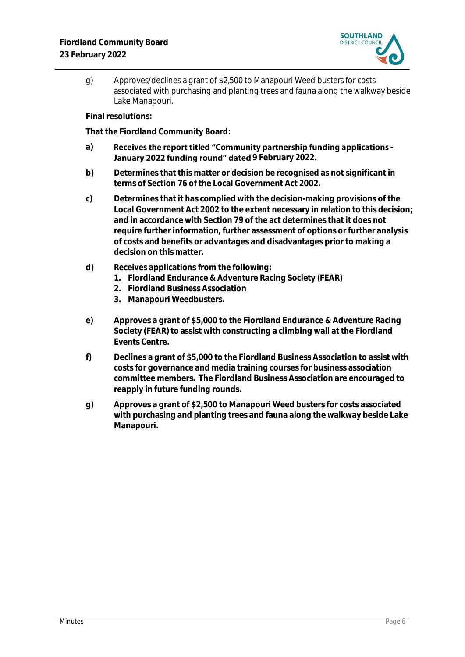

g) Approves/declines a grant of \$2,500 to Manapouri Weed busters for costs associated with purchasing and planting trees and fauna along the walkway beside Lake Manapouri.

**Final resolutions:**

**That the Fiordland Community Board:**

- a) Receives the report titled "Community partnership funding applications -January 2022 funding round" dated 9 February 2022.
- **b) Determines that this matter or decision be recognised as not significant in terms of Section 76 of the Local Government Act 2002.**
- **c) Determines that it has complied with the decision-making provisions of the Local Government Act 2002 to the extent necessary in relation to this decision; and in accordance with Section 79 of the act determines that it does not require further information, further assessment of options or further analysis of costs and benefits or advantages and disadvantages prior to making a decision on this matter.**
- **d) Receives applications from the following:**
	- **1. Fiordland Endurance & Adventure Racing Society (FEAR)**
	- **2. Fiordland Business Association**
	- **3. Manapouri Weedbusters.**
- **e) Approves a grant of \$5,000 to the Fiordland Endurance & Adventure Racing Society (FEAR) to assist with constructing a climbing wall at the Fiordland Events Centre.**
- **f) Declines a grant of \$5,000 to the Fiordland Business Association to assist with costs for governance and media training courses for business association committee members. The Fiordland Business Association are encouraged to reapply in future funding rounds.**
- **g) Approves a grant of \$2,500 to Manapouri Weed busters for costs associated with purchasing and planting trees and fauna along the walkway beside Lake Manapouri.**